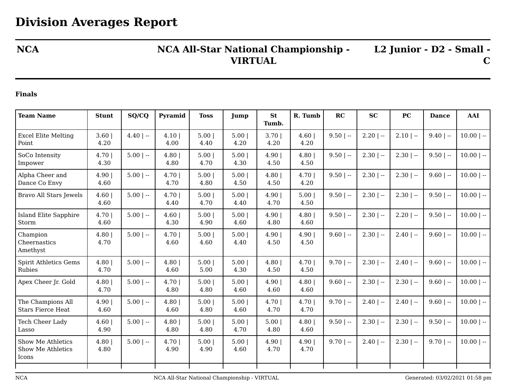## **NCA NCA All-Star National Championship - VIRTUAL**

**L2 Junior - D2 - Small - C**

## **Finals**

| <b>Team Name</b>                                | <b>Stunt</b>  | SQ/CQ       | Pyramid       | <b>Toss</b>  | Jump          | <b>St</b><br>Tumb. | R. Tumb        | RC          | <b>SC</b>    | <b>PC</b>    | <b>Dance</b> | AAI          |
|-------------------------------------------------|---------------|-------------|---------------|--------------|---------------|--------------------|----------------|-------------|--------------|--------------|--------------|--------------|
| <b>Excel Elite Melting</b><br>Point             | 3.60<br>4.20  | $4.40$   -- | 4.10 <br>4.00 | 5.00<br>4.40 | 5.00 <br>4.20 | 3.701<br>4.20      | 4.60<br>4.20   | $9.50$   -- | $2.20$   --  | $2.10$   --  | $9.40$   --  | $10.00$   -- |
| SoCo Intensity<br>Impower                       | 4.70 <br>4.30 | $5.00$   -- | 4.80<br>4.80  | 5.00<br>4.70 | 5.00<br>4.30  | 4.90<br>4.50       | 4.80<br>4.50   | $9.50$   -- | $2.30$   $-$ | $2.30$   $-$ | $9.50$   --  | $10.00$   -- |
| Alpha Cheer and<br>Dance Co Envy                | 4.90 <br>4.60 | $5.00$   -- | 4.70 <br>4.70 | 5.00<br>4.80 | 5.00<br>4.50  | 4.80<br>4.50       | 4.70  <br>4.20 | $9.50$   -- | $2.30$   --  | $2.30$   --  | $9.60$   --  | $10.00$   -- |
| Bravo All Stars Jewels                          | 4.60<br>4.60  | $5.00$   -- | 4.70<br>4.40  | 5.00<br>4.70 | 5.00 <br>4.40 | 4.90<br>4.70       | 5.00<br>4.50   | $9.50$   -- | $2.30$   --  | $2.30$   --  | $9.50$   --  | $10.00$   -- |
| <b>Island Elite Sapphire</b><br>Storm           | 4.70<br>4.60  | $5.00$   -- | 4.60<br>4.30  | 5.00<br>4.90 | 5.00<br>4.60  | 4.90<br>4.80       | 4.80<br>4.60   | $9.50$   -- | $2.30$   $-$ | $2.20$   $-$ | $9.50$   --  | $10.00$   -- |
| Champion<br>Cheernastics<br>Amethyst            | 4.80<br>4.70  | $5.00$   -- | 4.70<br>4.60  | 5.00<br>4.60 | 5.00<br>4.40  | 4.90<br>4.50       | 4.90<br>4.50   | $9.60$   -- | $2.30$   --  | $2.40$   --  | $9.60$   --  | $10.00$   -- |
| <b>Spirit Athletics Gems</b><br>Rubies          | 4.80<br>4.70  | $5.00$   -- | 4.80<br>4.60  | 5.00<br>5.00 | 5.00<br>4.30  | 4.80<br>4.50       | 4.70<br>4.50   | $9.70$   -- | $2.30$   $-$ | $2.40$   --  | $9.60$   --  | $10.00$   -- |
| Apex Cheer Jr. Gold                             | 4.80<br>4.70  | $5.00$   -- | 4.70<br>4.80  | 5.00<br>4.80 | 5.00<br>4.60  | 4.90<br>4.60       | 4.80<br>4.60   | $9.60$   -- | $2.30$   --  | $2.30$   --  | $9.60$   --  | $10.00$   -- |
| The Champions All<br><b>Stars Fierce Heat</b>   | 4.90<br>4.60  | $5.00$   -- | 4.80<br>4.60  | 5.00<br>4.80 | 5.00<br>4.60  | 4.70<br>4.70       | 4.70<br>4.70   | $9.70$   -- | $2.40$   --  | $2.40$   $-$ | $9.60$   --  | $10.00$   -- |
| <b>Tech Cheer Lady</b><br>Lasso                 | 4.60<br>4.90  | $5.00$   -- | 4.80<br>4.80  | 5.00<br>4.80 | 5.00<br>4.70  | 5.00<br>4.80       | 4.80<br>4.60   | $9.50$   -- | $2.30$   --  | $2.30$   --  | $9.50$   --  | $10.00$   -- |
| Show Me Athletics<br>Show Me Athletics<br>Icons | 4.80<br>4.80  | $5.00$   -- | 4.70<br>4.90  | 5.00<br>4.90 | 5.00 <br>4.60 | 4.90<br>4.70       | 4.90<br>4.70   | $9.70$   -- | $2.40$   $-$ | $2.30$   --  | $9.70$   --  | $10.00$   -- |
|                                                 |               |             |               |              |               |                    |                |             |              |              |              |              |